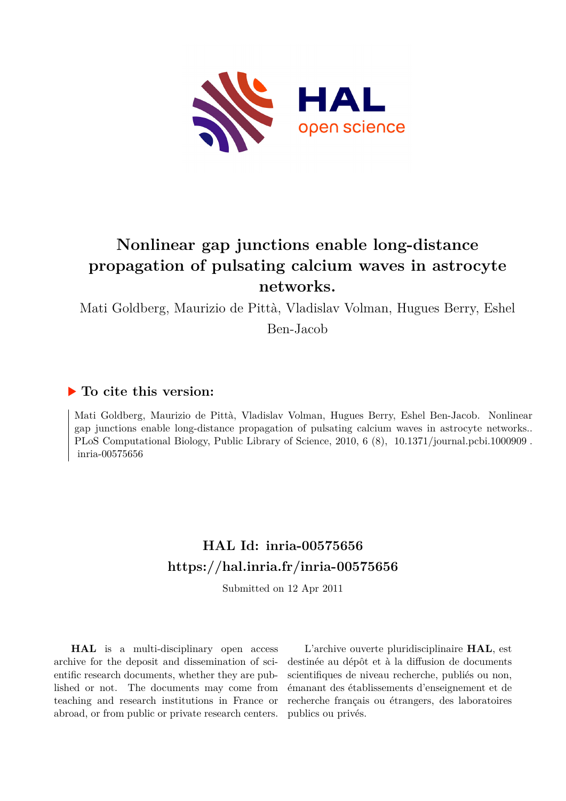

## **Nonlinear gap junctions enable long-distance propagation of pulsating calcium waves in astrocyte networks.**

Mati Goldberg, Maurizio de Pittà, Vladislav Volman, Hugues Berry, Eshel

Ben-Jacob

## **To cite this version:**

Mati Goldberg, Maurizio de Pittà, Vladislav Volman, Hugues Berry, Eshel Ben-Jacob. Nonlinear gap junctions enable long-distance propagation of pulsating calcium waves in astrocyte networks.. PLoS Computational Biology, Public Library of Science, 2010, 6 (8), 10.1371/journal.pcbi.1000909 . inria-00575656

## **HAL Id: inria-00575656 <https://hal.inria.fr/inria-00575656>**

Submitted on 12 Apr 2011

**HAL** is a multi-disciplinary open access archive for the deposit and dissemination of scientific research documents, whether they are published or not. The documents may come from teaching and research institutions in France or abroad, or from public or private research centers.

L'archive ouverte pluridisciplinaire **HAL**, est destinée au dépôt et à la diffusion de documents scientifiques de niveau recherche, publiés ou non, émanant des établissements d'enseignement et de recherche français ou étrangers, des laboratoires publics ou privés.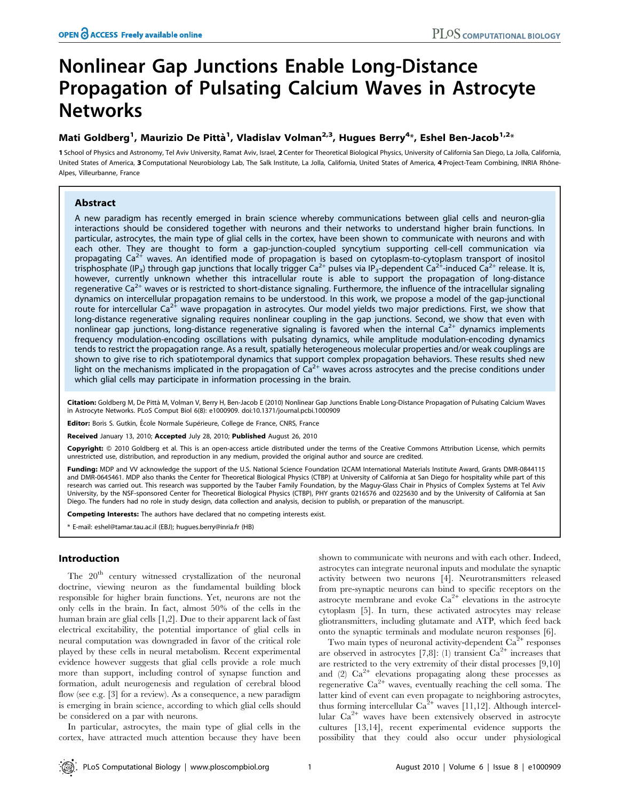# Nonlinear Gap Junctions Enable Long-Distance Propagation of Pulsating Calcium Waves in Astrocyte **Networks**

### Mati Goldberg<sup>1</sup>, Maurizio De Pittà<sup>1</sup>, Vladislav Volman<sup>2,3</sup>, Hugues Berry<sup>4</sup>\*, Eshel Ben-Jacob<sup>1,2</sup>\*

1 School of Physics and Astronomy, Tel Aviv University, Ramat Aviv, Israel, 2 Center for Theoretical Biological Physics, University of California San Diego, La Jolla, California, United States of America, 3 Computational Neurobiology Lab, The Salk Institute, La Jolla, California, United States of America, 4 Project-Team Combining, INRIA Rhône-Alpes, Villeurbanne, France

### Abstract

A new paradigm has recently emerged in brain science whereby communications between glial cells and neuron-glia interactions should be considered together with neurons and their networks to understand higher brain functions. In particular, astrocytes, the main type of glial cells in the cortex, have been shown to communicate with neurons and with each other. They are thought to form a gap-junction-coupled syncytium supporting cell-cell communication via propagating  $Ca^{2+}$  waves. An identified mode of propagation is based on cytoplasm-to-cytoplasm transport of inositol trisphosphate (IP<sub>3</sub>) through gap junctions that locally trigger Ca<sup>2+</sup> pulses via IP<sub>3</sub>-dependent Ca<sup>2+</sup>-induced Ca<sup>2+</sup> release. It is, however, currently unknown whether this intracellular route is able to support the propagation of long-distance regenerative  $Ca^{2+}$  waves or is restricted to short-distance signaling. Furthermore, the influence of the intracellular signaling dynamics on intercellular propagation remains to be understood. In this work, we propose a model of the gap-junctional route for intercellular Ca<sup>2+</sup> wave propagation in astrocytes. Our model yields two major predictions. First, we show that long-distance regenerative signaling requires nonlinear coupling in the gap junctions. Second, we show that even with nonlinear gap junctions, long-distance regenerative signaling is favored when the internal  $Ca<sup>2+</sup>$  dynamics implements frequency modulation-encoding oscillations with pulsating dynamics, while amplitude modulation-encoding dynamics tends to restrict the propagation range. As a result, spatially heterogeneous molecular properties and/or weak couplings are shown to give rise to rich spatiotemporal dynamics that support complex propagation behaviors. These results shed new light on the mechanisms implicated in the propagation of  $Ca^{2+}$  waves across astrocytes and the precise conditions under which glial cells may participate in information processing in the brain.

Citation: Goldberg M, De Pittà M, Volman V, Berry H, Ben-Jacob E (2010) Nonlinear Gap Junctions Enable Long-Distance Propagation of Pulsating Calcium Waves in Astrocyte Networks. PLoS Comput Biol 6(8): e1000909. doi:10.1371/journal.pcbi.1000909

Editor: Boris S. Gutkin, École Normale Supérieure, College de France, CNRS, France

Received January 13, 2010; Accepted July 28, 2010; Published August 26, 2010

Copyright: © 2010 Goldberg et al. This is an open-access article distributed under the terms of the Creative Commons Attribution License, which permits unrestricted use, distribution, and reproduction in any medium, provided the original author and source are credited.

Funding: MDP and VV acknowledge the support of the U.S. National Science Foundation I2CAM International Materials Institute Award, Grants DMR-0844115 and DMR-0645461. MDP also thanks the Center for Theoretical Biological Physics (CTBP) at University of California at San Diego for hospitality while part of this research was carried out. This research was supported by the Tauber Family Foundation, by the Maguy-Glass Chair in Physics of Complex Systems at Tel Aviv University, by the NSF-sponsored Center for Theoretical Biological Physics (CTBP), PHY grants 0216576 and 0225630 and by the University of California at San Diego. The funders had no role in study design, data collection and analysis, decision to publish, or preparation of the manuscript.

Competing Interests: The authors have declared that no competing interests exist.

\* E-mail: eshel@tamar.tau.ac.il (EBJ); hugues.berry@inria.fr (HB)

### Introduction

The 20<sup>th</sup> century witnessed crystallization of the neuronal doctrine, viewing neuron as the fundamental building block responsible for higher brain functions. Yet, neurons are not the only cells in the brain. In fact, almost 50% of the cells in the human brain are glial cells [1,2]. Due to their apparent lack of fast electrical excitability, the potential importance of glial cells in neural computation was downgraded in favor of the critical role played by these cells in neural metabolism. Recent experimental evidence however suggests that glial cells provide a role much more than support, including control of synapse function and formation, adult neurogenesis and regulation of cerebral blood flow (see e.g. [3] for a review). As a consequence, a new paradigm is emerging in brain science, according to which glial cells should be considered on a par with neurons.

In particular, astrocytes, the main type of glial cells in the cortex, have attracted much attention because they have been shown to communicate with neurons and with each other. Indeed, astrocytes can integrate neuronal inputs and modulate the synaptic activity between two neurons [4]. Neurotransmitters released from pre-synaptic neurons can bind to specific receptors on the astrocyte membrane and evoke  $Ca^{2+}$  elevations in the astrocyte cytoplasm [5]. In turn, these activated astrocytes may release gliotransmitters, including glutamate and ATP, which feed back onto the synaptic terminals and modulate neuron responses [6].

Two main types of neuronal activity-dependent  $Ca<sup>2+</sup>$  responses are observed in astrocytes [7,8]: (1) transient  $Ca^{2+}$  increases that are restricted to the very extremity of their distal processes [9,10] and  $(2)$  Ca<sup>2+</sup> elevations propagating along these processes as regenerative  $Ca^{2+}$  waves, eventually reaching the cell soma. The latter kind of event can even propagate to neighboring astrocytes, thus forming intercellular  $Ca^{2+}$  waves [11,12]. Although intercellular  $Ca^{2+}$  waves have been extensively observed in astrocyte cultures [13,14], recent experimental evidence supports the possibility that they could also occur under physiological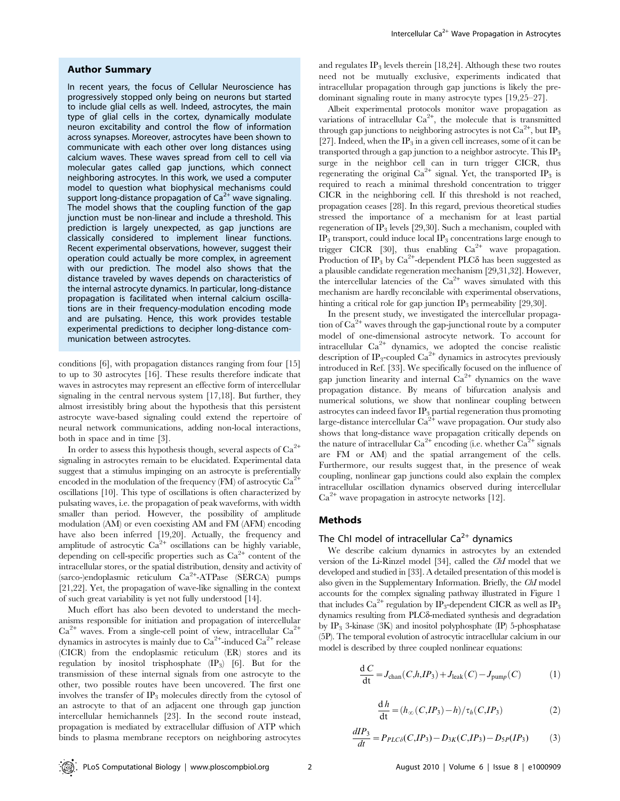#### Author Summary

In recent years, the focus of Cellular Neuroscience has progressively stopped only being on neurons but started to include glial cells as well. Indeed, astrocytes, the main type of glial cells in the cortex, dynamically modulate neuron excitability and control the flow of information across synapses. Moreover, astrocytes have been shown to communicate with each other over long distances using calcium waves. These waves spread from cell to cell via molecular gates called gap junctions, which connect neighboring astrocytes. In this work, we used a computer model to question what biophysical mechanisms could support long-distance propagation of  $Ca^{2+}$  wave signaling. The model shows that the coupling function of the gap junction must be non-linear and include a threshold. This prediction is largely unexpected, as gap junctions are classically considered to implement linear functions. Recent experimental observations, however, suggest their operation could actually be more complex, in agreement with our prediction. The model also shows that the distance traveled by waves depends on characteristics of the internal astrocyte dynamics. In particular, long-distance propagation is facilitated when internal calcium oscillations are in their frequency-modulation encoding mode and are pulsating. Hence, this work provides testable experimental predictions to decipher long-distance communication between astrocytes.

conditions [6], with propagation distances ranging from four [15] to up to 30 astrocytes [16]. These results therefore indicate that waves in astrocytes may represent an effective form of intercellular signaling in the central nervous system [17,18]. But further, they almost irresistibly bring about the hypothesis that this persistent astrocyte wave-based signaling could extend the repertoire of neural network communications, adding non-local interactions, both in space and in time [3].

In order to assess this hypothesis though, several aspects of  $Ca^{2+}$ signaling in astrocytes remain to be elucidated. Experimental data suggest that a stimulus impinging on an astrocyte is preferentially encoded in the modulation of the frequency  $(FM)$  of astrocytic  $Ca^{2+}$ oscillations [10]. This type of oscillations is often characterized by pulsating waves, i.e. the propagation of peak waveforms, with width smaller than period. However, the possibility of amplitude modulation (AM) or even coexisting AM and FM (AFM) encoding have also been inferred [19,20]. Actually, the frequency and amplitude of astrocytic  $Ca^{2+}$  oscillations can be highly variable, depending on cell-specific properties such as  $Ca^{2+}$  content of the intracellular stores, or the spatial distribution, density and activity of (sarco-)endoplasmic reticulum Ca2<sup>+</sup> -ATPase (SERCA) pumps [21,22]. Yet, the propagation of wave-like signalling in the context of such great variability is yet not fully understood [14].

Much effort has also been devoted to understand the mechanisms responsible for initiation and propagation of intercellular  $Ca^{2+}$  waves. From a single-cell point of view, intracellular  $Ca^{2+}$ dynamics in astrocytes is mainly due to  $Ca^{2+}$ -induced  $Ca^{2+}$  release (CICR) from the endoplasmic reticulum (ER) stores and its regulation by inositol trisphosphate (IP3) [6]. But for the transmission of these internal signals from one astrocyte to the other, two possible routes have been uncovered. The first one involves the transfer of  $IP_3$  molecules directly from the cytosol of an astrocyte to that of an adjacent one through gap junction intercellular hemichannels [23]. In the second route instead, propagation is mediated by extracellular diffusion of ATP which binds to plasma membrane receptors on neighboring astrocytes

and regulates  $IP_3$  levels therein [18,24]. Although these two routes need not be mutually exclusive, experiments indicated that intracellular propagation through gap junctions is likely the predominant signaling route in many astrocyte types [19,25–27].

Albeit experimental protocols monitor wave propagation as variations of intracellular Ca<sup>2+</sup>, the molecule that is transmitted through gap junctions to neighboring astrocytes is not  $Ca^{2+}$ , but  $IP_3$ [27]. Indeed, when the  $IP_3$  in a given cell increases, some of it can be transported through a gap junction to a neighbor astrocyte. This IP<sub>3</sub> surge in the neighbor cell can in turn trigger CICR, thus regenerating the original  $Ca^{2+}$  signal. Yet, the transported IP<sub>3</sub> is required to reach a minimal threshold concentration to trigger CICR in the neighboring cell. If this threshold is not reached, propagation ceases [28]. In this regard, previous theoretical studies stressed the importance of a mechanism for at least partial regeneration of IP<sub>3</sub> levels [29,30]. Such a mechanism, coupled with  $IP<sub>3</sub>$  transport, could induce local  $IP<sub>3</sub>$  concentrations large enough to trigger CICR [30], thus enabling  $Ca^{2+}$  wave propagation. Production of  $IP_3$  by  $Ca^{2+}$ -dependent PLC $\delta$  has been suggested as a plausible candidate regeneration mechanism [29,31,32]. However, the intercellular latencies of the  $Ca^{2+}$  waves simulated with this mechanism are hardly reconcilable with experimental observations, hinting a critical role for gap junction  $IP_3$  permeability [29,30].

In the present study, we investigated the intercellular propagation of  $Ca^{2+}$  waves through the gap-junctional route by a computer model of one-dimensional astrocyte network. To account for intracellular  $Ca^{2+}$  dynamics, we adopted the concise realistic description of IP<sub>3</sub>-coupled  $Ca^{2+}$  dynamics in astrocytes previously introduced in Ref. [33]. We specifically focused on the influence of gap junction linearity and internal  $Ca^{2+}$  dynamics on the wave propagation distance. By means of bifurcation analysis and numerical solutions, we show that nonlinear coupling between astrocytes can indeed favor  $IP_3$  partial regeneration thus promoting large-distance intercellular  $\text{Ca}^{\frac{2+}{2}}$  wave propagation. Our study also shows that long-distance wave propagation critically depends on the nature of intracellular  $Ca^{2+}$  encoding (i.e. whether  $Ca^{2+}$  signals are FM or AM) and the spatial arrangement of the cells. Furthermore, our results suggest that, in the presence of weak coupling, nonlinear gap junctions could also explain the complex intracellular oscillation dynamics observed during intercellular  $Ca<sup>2+</sup>$  wave propagation in astrocyte networks [12].

#### Methods

#### The ChI model of intracellular  $Ca^{2+}$  dynamics

We describe calcium dynamics in astrocytes by an extended version of the Li-Rinzel model [34], called the ChI model that we developed and studied in [33]. A detailed presentation of this model is also given in the Supplementary Information. Briefly, the ChI model accounts for the complex signaling pathway illustrated in Figure 1 that includes  $Ca^{2+}$  regulation by IP<sub>3</sub>-dependent CICR as well as IP<sub>3</sub> dynamics resulting from PLC $\delta$ -mediated synthesis and degradation by  $IP_3$  3-kinase (3K) and inositol polyphosphate (IP) 5-phosphatase (5P). The temporal evolution of astrocytic intracellular calcium in our model is described by three coupled nonlinear equations:

$$
\frac{dC}{dt} = J_{\text{chan}}(C, h, IP_3) + J_{\text{leak}}(C) - J_{\text{pump}}(C) \tag{1}
$$

$$
\frac{\mathrm{d}h}{\mathrm{dt}} = (h_{\infty}(C,IP_3) - h) / \tau_h(C,IP_3) \tag{2}
$$

$$
\frac{dIP_3}{dt} = P_{PLC\delta}(C, IP_3) - D_{3K}(C, IP_3) - D_{5P}(IP_3) \tag{3}
$$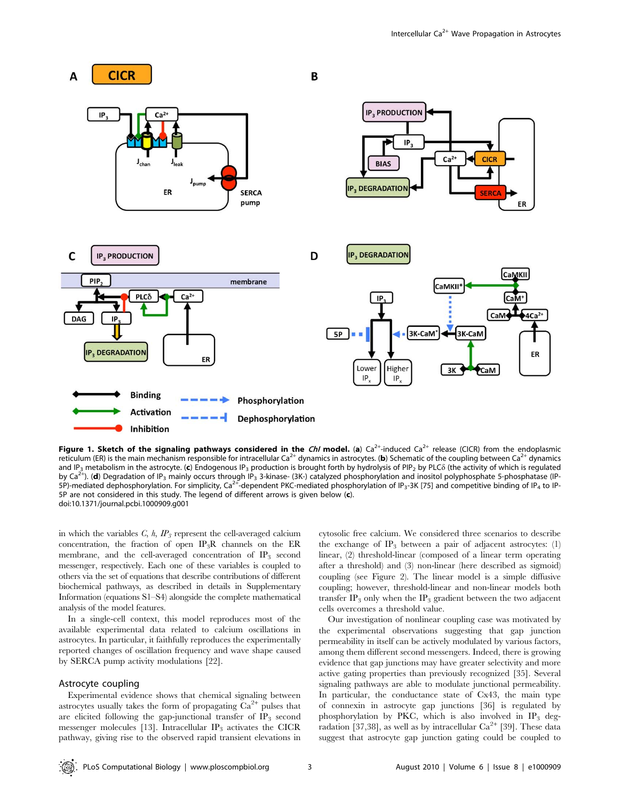

Figure 1. Sketch of the signaling pathways considered in the *ChI* model. (a) Ca<sup>2+</sup>-induced Ca<sup>2+</sup> release (CICR) from the endoplasmic reticulum (ER) is the main mechanism responsible for intracellular  $Ca^{2+}$  dynamics in astrocytes. (b) Schematic of the coupling between  $Ca^{2+}$  dynamics responsible for intracellular  $Ca^{2+}$  dynamics in astrocytes. (b) S and IP<sub>3</sub> metabolism in the astrocyte. (c) Endogenous IP<sub>3</sub> production is brought forth by hydrolysis of PIP<sub>2</sub> by PLC $\delta$  (the activity of which is regulated by Ca<sup>2+</sup>). (**d**) Degradation of IP<sub>3</sub> mainly occurs through IP<sub>3</sub> 3-kinase- (3K-) catalyzed phosphorylation and inositol polyphosphate 5-phosphatase (IP-<br>5P)-mediated dephosphorylation. For simplicity, Ca<sup>2+</sup>-dependent PK 5P are not considered in this study. The legend of different arrows is given below (c). doi:10.1371/journal.pcbi.1000909.g001

in which the variables  $C$ ,  $h$ ,  $IP_3$  represent the cell-averaged calcium concentration, the fraction of open  $IP_3R$  channels on the ER membrane, and the cell-averaged concentration of  $IP_3$  second messenger, respectively. Each one of these variables is coupled to others via the set of equations that describe contributions of different biochemical pathways, as described in details in Supplementary Information (equations S1–S4) alongside the complete mathematical analysis of the model features.

In a single-cell context, this model reproduces most of the available experimental data related to calcium oscillations in astrocytes. In particular, it faithfully reproduces the experimentally reported changes of oscillation frequency and wave shape caused by SERCA pump activity modulations [22].

#### Astrocyte coupling

Experimental evidence shows that chemical signaling between astrocytes usually takes the form of propagating  $Ca^{2+}$  pulses that are elicited following the gap-junctional transfer of  $IP_3$  second messenger molecules [13]. Intracellular  $IP_3$  activates the CICR pathway, giving rise to the observed rapid transient elevations in cytosolic free calcium. We considered three scenarios to describe the exchange of  $IP_3$  between a pair of adjacent astrocytes: (1) linear, (2) threshold-linear (composed of a linear term operating after a threshold) and (3) non-linear (here described as sigmoid) coupling (see Figure 2). The linear model is a simple diffusive coupling; however, threshold-linear and non-linear models both transfer  $IP_3$  only when the  $IP_3$  gradient between the two adjacent cells overcomes a threshold value.

Our investigation of nonlinear coupling case was motivated by the experimental observations suggesting that gap junction permeability in itself can be actively modulated by various factors, among them different second messengers. Indeed, there is growing evidence that gap junctions may have greater selectivity and more active gating properties than previously recognized [35]. Several signaling pathways are able to modulate junctional permeability. In particular, the conductance state of Cx43, the main type of connexin in astrocyte gap junctions [36] is regulated by phosphorylation by PKC, which is also involved in  $IP_3$  degradation [37,38], as well as by intracellular  $Ca^{2+}$  [39]. These data suggest that astrocyte gap junction gating could be coupled to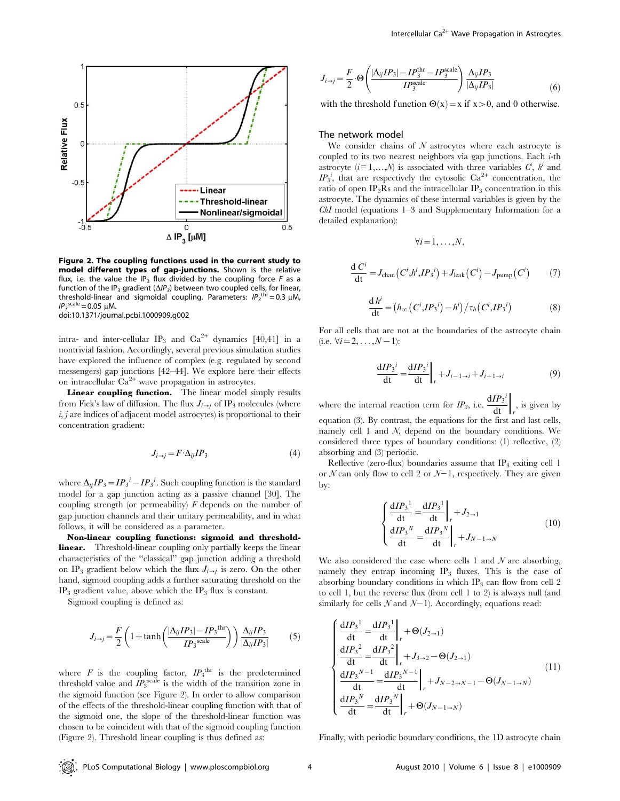

Figure 2. The coupling functions used in the current study to model different types of gap-junctions. Shown is the relative flux, i.e. the value the IP<sub>3</sub> flux divided by the coupling force  $F$  as a function of the IP<sub>3</sub> gradient ( $\Delta$ IP<sub>3</sub>) between two coupled cells, for linear, threshold-linear and sigmoidal coupling. Parameters:  $IP_3^{\text{thr}} = 0.3 \mu M$ ,  $IP_3^{\text{scale}} = 0.05 \, \mu \text{M}.$ doi:10.1371/journal.pcbi.1000909.g002

intra- and inter-cellular IP<sub>3</sub> and  $Ca^{2+}$  dynamics [40,41] in a nontrivial fashion. Accordingly, several previous simulation studies have explored the influence of complex (e.g. regulated by second messengers) gap junctions [42–44]. We explore here their effects on intracellular  $Ca^{2+}$  wave propagation in astrocytes.

Linear coupling function. The linear model simply results from Fick's law of diffusion. The flux  $J_{i\rightarrow j}$  of IP<sub>3</sub> molecules (where  $i, j$  are indices of adjacent model astrocytes) is proportional to their concentration gradient:

$$
J_{i \to j} = F \cdot \Delta_{ij} I P_3 \tag{4}
$$

where  $\Delta_{ij}IP_3 = IP_3^i - IP_3^j$ . Such coupling function is the standard model for a gap junction acting as a passive channel [30]. The coupling strength (or permeability)  $F$  depends on the number of gap junction channels and their unitary permeability, and in what follows, it will be considered as a parameter.

Non-linear coupling functions: sigmoid and thresholdlinear. Threshold-linear coupling only partially keeps the linear characteristics of the ''classical'' gap junction adding a threshold on IP<sub>3</sub> gradient below which the flux  $J_{i\rightarrow j}$  is zero. On the other hand, sigmoid coupling adds a further saturating threshold on the  $IP_3$  gradient value, above which the  $IP_3$  flux is constant.

Sigmoid coupling is defined as:

$$
J_{i \to j} = \frac{F}{2} \left( 1 + \tanh\left(\frac{|\Delta_{ij}IP_3| - IP_3^{\text{ thr}}}{IP_3^{\text{scale}}}\right) \right) \frac{\Delta_{ij}IP_3}{|\Delta_{ij}IP_3|} \tag{5}
$$

where  $F$  is the coupling factor,  $IP_3^{\text{thr}}$  is the predetermined threshold value and  $\dot{IP}_3^{\text{scale}}$  is the width of the transition zone in the sigmoid function (see Figure 2). In order to allow comparison of the effects of the threshold-linear coupling function with that of the sigmoid one, the slope of the threshold-linear function was chosen to be coincident with that of the sigmoid coupling function (Figure 2). Threshold linear coupling is thus defined as:

$$
J_{i\to j} = \frac{F}{2} \cdot \Theta \left( \frac{|\Delta_{ij}IP_3| - IP_3^{\text{thr}} - IP_3^{\text{scale}}}{IP_3^{\text{scale}}} \right) \frac{\Delta_{ij}IP_3}{|\Delta_{ij}IP_3|} \tag{6}
$$

with the threshold function  $\Theta(x) = x$  if  $x > 0$ , and 0 otherwise.

#### The network model

We consider chains of  $N$  astrocytes where each astrocyte is coupled to its two nearest neighbors via gap junctions. Each  $i$ -th astrocyte  $(i = 1, ..., N)$  is associated with three variables  $C^i$ ,  $h^i$  and  $IP_3^i$ , that are respectively the cytosolic Ca<sup>2+</sup> concentration, the ratio of open IP<sub>3</sub>Rs and the intracellular IP<sub>3</sub> concentration in this astrocyte. The dynamics of these internal variables is given by the ChI model (equations 1–3 and Supplementary Information for a detailed explanation):

$$
\forall i=1,\ldots,N,
$$

$$
\frac{\mathrm{d} C^i}{\mathrm{d} t} = J_{\text{chan}}(C^i, h^i, IP_3^i) + J_{\text{leak}}(C^i) - J_{\text{pump}}(C^i) \tag{7}
$$

$$
\frac{\mathrm{d} h^i}{\mathrm{d} t} = \left(h_{\infty}\left(C^i,I P_3{}^i\right) - h^i\right) / \tau_h\left(C^i,I P_3{}^i\right) \tag{8}
$$

For all cells that are not at the boundaries of the astrocyte chain (i.e.  $\forall i=2, \ldots, N-1$ ):

$$
\frac{dIP_3^i}{dt} = \frac{dIP_3^i}{dt}\bigg|_r + J_{i-1 \to i} + J_{i+1 \to i} \tag{9}
$$

where the internal reaction term for  $IP_3$ , i.e.  $\frac{dIP_3^i}{dt}\bigg|_r$ , is given by equation (3). By contrast, the equations for the first and last cells, namely cell 1 and N, depend on the boundary conditions. We considered three types of boundary conditions: (1) reflective, (2) absorbing and (3) periodic.

Reflective (zero-flux) boundaries assume that  $IP_3$  exiting cell 1 or  $N$  can only flow to cell 2 or  $N-1$ , respectively. They are given by:

$$
\begin{cases}\n\frac{dIP_3^1}{dt} = \frac{dIP_3^1}{dt}\bigg|_{r} + J_{2 \to 1} \\
\frac{dIP_3^N}{dt} = \frac{dIP_3^N}{dt}\bigg|_{r} + J_{N-1 \to N}\n\end{cases}
$$
\n(10)

We also considered the case where cells 1 and  $N$  are absorbing, namely they entrap incoming  $IP_3$  fluxes. This is the case of absorbing boundary conditions in which  $IP_3$  can flow from cell 2 to cell 1, but the reverse flux (from cell 1 to 2) is always null (and similarly for cells  $N$  and  $N-1$ ). Accordingly, equations read:

$$
\begin{cases}\n\frac{dIP_3^1}{dt} = \frac{dIP_3^1}{dt}\Big|_{r} + \Theta(J_{2\to 1}) \\
\frac{dIP_3^2}{dt} = \frac{dIP_3^2}{dt}\Big|_{r} + J_{3\to 2} - \Theta(J_{2\to 1}) \\
\frac{dIP_3^{N-1}}{dt} = \frac{dIP_3^{N-1}}{dt}\Big|_{r} + J_{N-2\to N-1} - \Theta(J_{N-1\to N}) \\
\frac{dIP_3^N}{dt} = \frac{dIP_3^N}{dt}\Big|_{r} + \Theta(J_{N-1\to N})\n\end{cases} (11)
$$

Finally, with periodic boundary conditions, the 1D astrocyte chain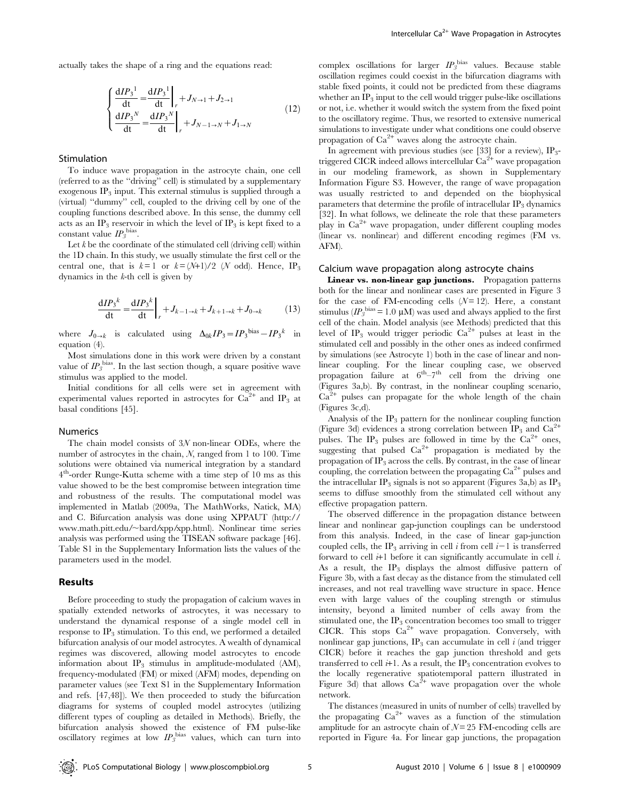actually takes the shape of a ring and the equations read:

$$
\begin{cases}\n\frac{dIP_3^1}{dt} = \frac{dIP_3^1}{dt}\bigg|_{r} + J_{N \to 1} + J_{2 \to 1} \\
\frac{dIP_3^N}{dt} = \frac{dIP_3^N}{dt}\bigg|_{r} + J_{N-1 \to N} + J_{1 \to N}\n\end{cases}
$$
\n(12)

#### Stimulation

To induce wave propagation in the astrocyte chain, one cell (referred to as the ''driving'' cell) is stimulated by a supplementary exogenous  $IP_3$  input. This external stimulus is supplied through a (virtual) ''dummy'' cell, coupled to the driving cell by one of the coupling functions described above. In this sense, the dummy cell acts as an IP<sub>3</sub> reservoir in which the level of IP<sub>3</sub> is kept fixed to a constant value  $IP_3^{\text{bias}}$ .

Let  $k$  be the coordinate of the stimulated cell (driving cell) within the 1D chain. In this study, we usually stimulate the first cell or the central one, that is  $k = 1$  or  $k = (N+1)/2$  (N odd). Hence, IP<sub>3</sub> dynamics in the  $k$ -th cell is given by

$$
\frac{dIP_3^k}{dt} = \frac{dIP_3^k}{dt}\bigg|_r + J_{k-1 \to k} + J_{k+1 \to k} + J_{0 \to k} \tag{13}
$$

where  $J_{0\to k}$  is calculated using  $\Delta_{0k}IP_3=IP_3^{\text{bias}}-IP_3^{\text{k}}$  in equation (4).

Most simulations done in this work were driven by a constant value of  $IP_3^{\text{bias}}$ . In the last section though, a square positive wave stimulus was applied to the model.

Initial conditions for all cells were set in agreement with experimental values reported in astrocytes for  $Ca^{2+}$  and IP<sub>3</sub> at basal conditions [45].

#### Numerics

The chain model consists of 3N non-linear ODEs, where the number of astrocytes in the chain,  $N$ , ranged from 1 to 100. Time solutions were obtained via numerical integration by a standard 4th-order Runge-Kutta scheme with a time step of 10 ms as this value showed to be the best compromise between integration time and robustness of the results. The computational model was implemented in Matlab (2009a, The MathWorks, Natick, MA) and C. Bifurcation analysis was done using XPPAUT (http:// www.math.pitt.edu/~bard/xpp/xpp.html). Nonlinear time series analysis was performed using the TISEAN software package [46]. Table S1 in the Supplementary Information lists the values of the parameters used in the model.

#### Results

Before proceeding to study the propagation of calcium waves in spatially extended networks of astrocytes, it was necessary to understand the dynamical response of a single model cell in response to  $IP_3$  stimulation. To this end, we performed a detailed bifurcation analysis of our model astrocytes. A wealth of dynamical regimes was discovered, allowing model astrocytes to encode information about  $IP_3$  stimulus in amplitude-modulated (AM), frequency-modulated (FM) or mixed (AFM) modes, depending on parameter values (see Text S1 in the Supplementary Information and refs. [47,48]). We then proceeded to study the bifurcation diagrams for systems of coupled model astrocytes (utilizing different types of coupling as detailed in Methods). Briefly, the bifurcation analysis showed the existence of FM pulse-like oscillatory regimes at low  $IP_3^{\text{bias}}$  values, which can turn into

complex oscillations for larger  $IP_3^{\text{bias}}$  values. Because stable oscillation regimes could coexist in the bifurcation diagrams with stable fixed points, it could not be predicted from these diagrams whether an  $IP_3$  input to the cell would trigger pulse-like oscillations or not, i.e. whether it would switch the system from the fixed point to the oscillatory regime. Thus, we resorted to extensive numerical simulations to investigate under what conditions one could observe propagation of  $Ca^{2+}$  waves along the astrocyte chain.

In agreement with previous studies (see [33] for a review),  $IP_3$ triggered CICR indeed allows intercellular  $\text{Ca}^{\overline{2}+}$  wave propagation in our modeling framework, as shown in Supplementary Information Figure S3. However, the range of wave propagation was usually restricted to and depended on the biophysical parameters that determine the profile of intracellular  $IP_3$  dynamics [32]. In what follows, we delineate the role that these parameters play in  $Ca^{2+}$  wave propagation, under different coupling modes (linear vs. nonlinear) and different encoding regimes (FM vs. AFM).

#### Calcium wave propagation along astrocyte chains

Linear vs. non-linear gap junctions. Propagation patterns both for the linear and nonlinear cases are presented in Figure 3 for the case of FM-encoding cells  $(N=12)$ . Here, a constant stimulus ( $IP_3^{\text{bias}}$  = 1.0 µM) was used and always applied to the first cell of the chain. Model analysis (see Methods) predicted that this level of IP<sub>3</sub> would trigger periodic  $Ca^{2+}$  pulses at least in the stimulated cell and possibly in the other ones as indeed confirmed by simulations (see Astrocyte 1) both in the case of linear and nonlinear coupling. For the linear coupling case, we observed propagation failure at  $6^{\text{th}} - 7^{\text{th}}$  cell from the driving one (Figures 3a,b). By contrast, in the nonlinear coupling scenario,  $Ca^{2+}$  pulses can propagate for the whole length of the chain (Figures 3c,d).

Analysis of the  $IP_3$  pattern for the nonlinear coupling function (Figure 3d) evidences a strong correlation between IP<sub>3</sub> and  $Ca^{2+}$ pulses. The IP<sub>3</sub> pulses are followed in time by the  $Ca^{2+}$  ones, suggesting that pulsed  $Ca^{2+}$  propagation is mediated by the propagation of  $IP_3$  across the cells. By contrast, in the case of linear coupling, the correlation between the propagating  $Ca^{2+}$  pulses and the intracellular  $IP_3$  signals is not so apparent (Figures 3a,b) as  $IP_3$ seems to diffuse smoothly from the stimulated cell without any effective propagation pattern.

The observed difference in the propagation distance between linear and nonlinear gap-junction couplings can be understood from this analysis. Indeed, in the case of linear gap-junction coupled cells, the IP<sub>3</sub> arriving in cell i from cell  $i-1$  is transferred forward to cell  $i+1$  before it can significantly accumulate in cell  $i$ . As a result, the  $IP_3$  displays the almost diffusive pattern of Figure 3b, with a fast decay as the distance from the stimulated cell increases, and not real travelling wave structure in space. Hence even with large values of the coupling strength or stimulus intensity, beyond a limited number of cells away from the stimulated one, the  $IP_3$  concentration becomes too small to trigger CICR. This stops  $Ca^{2+}$  wave propagation. Conversely, with nonlinear gap junctions,  $IP_3$  can accumulate in cell i (and trigger CICR) before it reaches the gap junction threshold and gets transferred to cell  $i+1$ . As a result, the IP<sub>3</sub> concentration evolves to the locally regenerative spatiotemporal pattern illustrated in Figure 3d) that allows  $Ca^{2+}$  wave propagation over the whole network.

The distances (measured in units of number of cells) travelled by the propagating  $Ca^{2+}$  waves as a function of the stimulation amplitude for an astrocyte chain of  $N = 25$  FM-encoding cells are reported in Figure 4a. For linear gap junctions, the propagation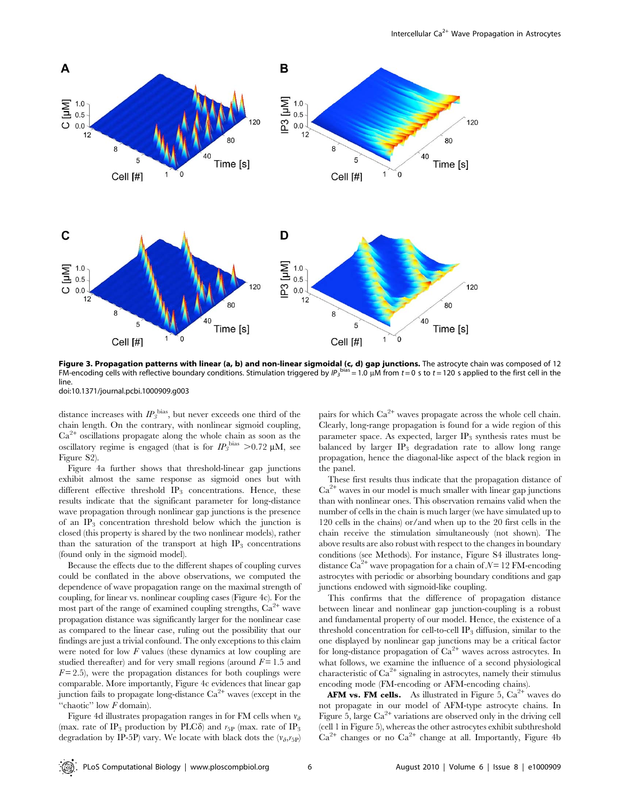

Figure 3. Propagation patterns with linear (a, b) and non-linear sigmoidal (c, d) gap junctions. The astrocyte chain was composed of 12 FM-encoding cells with reflective boundary conditions. Stimulation triggered by  $IP_3$ <sup>bias</sup> = 1.0 µM from t = 0 s to t = 120 s applied to the first cell in the line. doi:10.1371/journal.pcbi.1000909.g003

distance increases with  $IP_3^{\text{bias}}$ , but never exceeds one third of the chain length. On the contrary, with nonlinear sigmoid coupling,  $Ca<sup>2+</sup>$  oscillations propagate along the whole chain as soon as the oscillatory regime is engaged (that is for  $IP_3^{\text{bias}} > 0.72 \text{ }\mu\text{M}$ , see Figure S2).

Figure 4a further shows that threshold-linear gap junctions exhibit almost the same response as sigmoid ones but with different effective threshold IP<sub>3</sub> concentrations. Hence, these results indicate that the significant parameter for long-distance wave propagation through nonlinear gap junctions is the presence of an  $IP_3$  concentration threshold below which the junction is closed (this property is shared by the two nonlinear models), rather than the saturation of the transport at high  $IP_3$  concentrations (found only in the sigmoid model).

Because the effects due to the different shapes of coupling curves could be conflated in the above observations, we computed the dependence of wave propagation range on the maximal strength of coupling, for linear vs. nonlinear coupling cases (Figure 4c). For the most part of the range of examined coupling strengths,  $Ca<sup>2+</sup>$  wave propagation distance was significantly larger for the nonlinear case as compared to the linear case, ruling out the possibility that our findings are just a trivial confound. The only exceptions to this claim were noted for low F values (these dynamics at low coupling are studied thereafter) and for very small regions (around  $F = 1.5$  and  $F = 2.5$ ), were the propagation distances for both couplings were comparable. More importantly, Figure 4c evidences that linear gap junction fails to propagate long-distance  $Ca^{2+}$  waves (except in the "chaotic" low  $F$  domain).

Figure 4d illustrates propagation ranges in for FM cells when  $v_{\delta}$ (max. rate of IP<sub>3</sub> production by PLC $\delta$ ) and  $r_{5P}$  (max. rate of IP<sub>3</sub> degradation by IP-5P) vary. We locate with black dots the  $(v_{\delta},r_{5P})$  pairs for which  $Ca^{2+}$  waves propagate across the whole cell chain. Clearly, long-range propagation is found for a wide region of this parameter space. As expected, larger  $IP_3$  synthesis rates must be balanced by larger  $IP_3$  degradation rate to allow long range propagation, hence the diagonal-like aspect of the black region in the panel.

These first results thus indicate that the propagation distance of  $Ca<sup>2+</sup>$  waves in our model is much smaller with linear gap junctions than with nonlinear ones. This observation remains valid when the number of cells in the chain is much larger (we have simulated up to 120 cells in the chains) or/and when up to the 20 first cells in the chain receive the stimulation simultaneously (not shown). The above results are also robust with respect to the changes in boundary conditions (see Methods). For instance, Figure S4 illustrates longdistance  $\text{Ca}^{2+}$  wave propagation for a chain of  $\mathcal{N}=12$  FM-encoding astrocytes with periodic or absorbing boundary conditions and gap junctions endowed with sigmoid-like coupling.

This confirms that the difference of propagation distance between linear and nonlinear gap junction-coupling is a robust and fundamental property of our model. Hence, the existence of a threshold concentration for cell-to-cell  $IP_3$  diffusion, similar to the one displayed by nonlinear gap junctions may be a critical factor for long-distance propagation of  $Ca^{2+}$  waves across astrocytes. In what follows, we examine the influence of a second physiological characteristic of  $Ca^{2+}$  signaling in astrocytes, namely their stimulus encoding mode (FM-encoding or AFM-encoding chains).

**AFM vs. FM cells.** As illustrated in Figure 5,  $Ca^{2+}$  waves do not propagate in our model of AFM-type astrocyte chains. In Figure 5, large  $Ca^{2+}$  variations are observed only in the driving cell (cell 1 in Figure 5), whereas the other astrocytes exhibit subthreshold  $Ca^{2+}$  changes or no  $Ca^{2+}$  change at all. Importantly, Figure 4b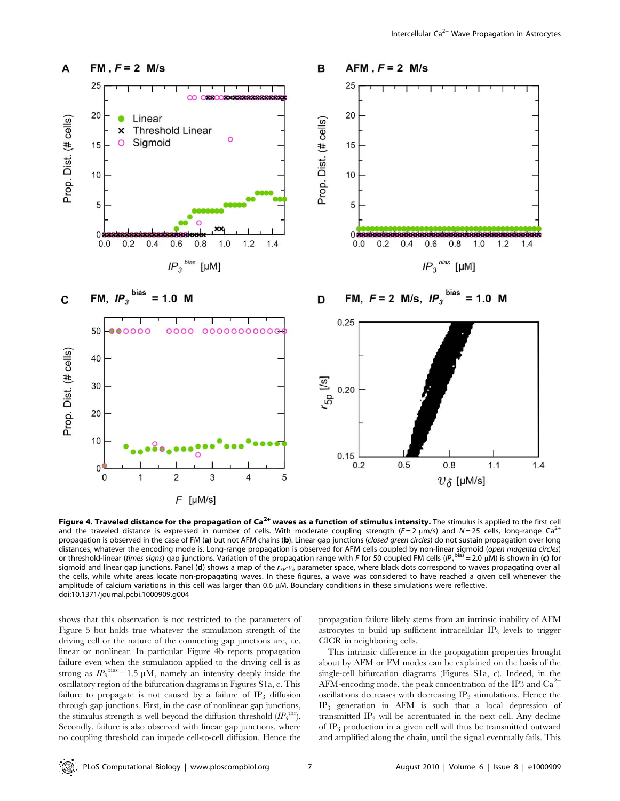

Figure 4. Traveled distance for the propagation of Ca<sup>2+</sup> waves as a function of stimulus intensity. The stimulus is applied to the first cell and the traveled distance is expressed in number of cells. With moderate coupling strength ( $F = 2 \mu m/s$ ) and  $N = 25$  cells, long-range Ca<sup>2+</sup> propagation is observed in the case of FM (a) but not AFM chains (b). Linear gap junctions (closed green circles) do not sustain propagation over long distances, whatever the encoding mode is. Long-range propagation is observed for AFM cells coupled by non-linear sigmoid (open magenta circles) or threshold-linear (times signs) gap junctions. Variation of the propagation range with F for 50 coupled FM cells (IP<sub>3</sub><sup>bias</sup> = 2.0 µM) is shown in (c) for sigmoid and linear gap junctions. Panel (d) shows a map of the  $r_{5P}$ - $v_{\delta}$  parameter space, where black dots correspond to waves propagating over all the cells, while white areas locate non-propagating waves. In these figures, a wave was considered to have reached a given cell whenever the amplitude of calcium variations in this cell was larger than 0.6 µM. Boundary conditions in these simulations were reflective. doi:10.1371/journal.pcbi.1000909.g004

shows that this observation is not restricted to the parameters of Figure 5 but holds true whatever the stimulation strength of the driving cell or the nature of the connecting gap junctions are, i.e. linear or nonlinear. In particular Figure 4b reports propagation failure even when the stimulation applied to the driving cell is as strong as  $IP_3^{\text{bias}} = 1.5 \mu M$ , namely an intensity deeply inside the oscillatory region of the bifurcation diagrams in Figures S1a, c. This failure to propagate is not caused by a failure of  $IP_3$  diffusion through gap junctions. First, in the case of nonlinear gap junctions, the stimulus strength is well beyond the diffusion threshold  $(I\!P_3^{\text{thr}})$ . Secondly, failure is also observed with linear gap junctions, where no coupling threshold can impede cell-to-cell diffusion. Hence the

propagation failure likely stems from an intrinsic inability of AFM astrocytes to build up sufficient intracellular  $IP_3$  levels to trigger CICR in neighboring cells.

This intrinsic difference in the propagation properties brought about by AFM or FM modes can be explained on the basis of the single-cell bifurcation diagrams (Figures S1a, c). Indeed, in the AFM-encoding mode, the peak concentration of the IP3 and  $Ca<sup>2</sup>$ oscillations decreases with decreasing  $IP_3$  stimulations. Hence the IP3 generation in AFM is such that a local depression of transmitted  $IP_3$  will be accentuated in the next cell. Any decline of  $IP_3$  production in a given cell will thus be transmitted outward and amplified along the chain, until the signal eventually fails. This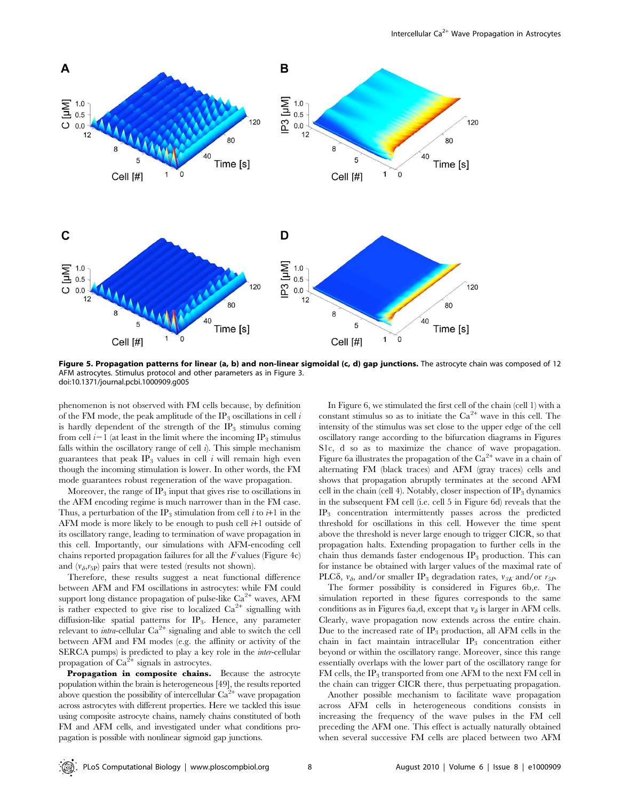

Figure 5. Propagation patterns for linear (a, b) and non-linear sigmoidal (c, d) gap junctions. The astrocyte chain was composed of 12 AFM astrocytes. Stimulus protocol and other parameters as in Figure 3. doi:10.1371/journal.pcbi.1000909.g005

phenomenon is not observed with FM cells because, by definition of the FM mode, the peak amplitude of the IP<sub>3</sub> oscillations in cell i is hardly dependent of the strength of the  $IP_3$  stimulus coming from cell  $i-1$  (at least in the limit where the incoming IP<sub>3</sub> stimulus falls within the oscillatory range of cell  $\hat{i}$ ). This simple mechanism guarantees that peak  $IP_3$  values in cell i will remain high even though the incoming stimulation is lower. In other words, the FM mode guarantees robust regeneration of the wave propagation.

Moreover, the range of  $IP_3$  input that gives rise to oscillations in the AFM encoding regime is much narrower than in the FM case. Thus, a perturbation of the IP<sub>3</sub> stimulation from cell i to  $i+1$  in the AFM mode is more likely to be enough to push cell  $i+1$  outside of its oscillatory range, leading to termination of wave propagation in this cell. Importantly, our simulations with AFM-encoding cell chains reported propagation failures for all the  $F$  values (Figure 4c) and  $(v_{\delta},r_{5P})$  pairs that were tested (results not shown).

Therefore, these results suggest a neat functional difference between AFM and FM oscillations in astrocytes: while FM could support long distance propagation of pulse-like  $Ca^{2+}$  waves, AFM is rather expected to give rise to localized  $Ca^{2+}$  signalling with diffusion-like spatial patterns for IP3. Hence, any parameter relevant to *intra*-cellular  $Ca^{2+}$  signaling and able to switch the cell between AFM and FM modes (e.g. the affinity or activity of the SERCA pumps) is predicted to play a key role in the inter-cellular propagation of  $Ca^{2+}$  signals in astrocytes.

Propagation in composite chains. Because the astrocyte population within the brain is heterogeneous [49], the results reported above question the possibility of intercellular  $Ca^{2+}$  wave propagation across astrocytes with different properties. Here we tackled this issue using composite astrocyte chains, namely chains constituted of both FM and AFM cells, and investigated under what conditions propagation is possible with nonlinear sigmoid gap junctions.

In Figure 6, we stimulated the first cell of the chain (cell 1) with a constant stimulus so as to initiate the  $Ca^{2+}$  wave in this cell. The intensity of the stimulus was set close to the upper edge of the cell oscillatory range according to the bifurcation diagrams in Figures S1c, d so as to maximize the chance of wave propagation. Figure 6a illustrates the propagation of the  $Ca^{2+}$  wave in a chain of alternating FM (black traces) and AFM (gray traces) cells and shows that propagation abruptly terminates at the second AFM cell in the chain (cell 4). Notably, closer inspection of  $IP_3$  dynamics in the subsequent FM cell (i.e. cell 5 in Figure 6d) reveals that the IP3 concentration intermittently passes across the predicted threshold for oscillations in this cell. However the time spent above the threshold is never large enough to trigger CICR, so that propagation halts. Extending propagation to further cells in the chain thus demands faster endogenous  $IP_3$  production. This can for instance be obtained with larger values of the maximal rate of PLC $\delta$ ,  $v_{\delta}$ , and/or smaller IP<sub>3</sub> degradation rates,  $v_{3K}$  and/or  $r_{5P}$ .

The former possibility is considered in Figures 6b,e. The simulation reported in these figures corresponds to the same conditions as in Figures 6a,d, except that  $v_{\delta}$  is larger in AFM cells. Clearly, wave propagation now extends across the entire chain. Due to the increased rate of  $IP_3$  production, all AFM cells in the chain in fact maintain intracellular  $IP_3$  concentration either beyond or within the oscillatory range. Moreover, since this range essentially overlaps with the lower part of the oscillatory range for FM cells, the IP<sub>3</sub> transported from one AFM to the next FM cell in the chain can trigger CICR there, thus perpetuating propagation.

Another possible mechanism to facilitate wave propagation across AFM cells in heterogeneous conditions consists in increasing the frequency of the wave pulses in the FM cell preceding the AFM one. This effect is actually naturally obtained when several successive FM cells are placed between two AFM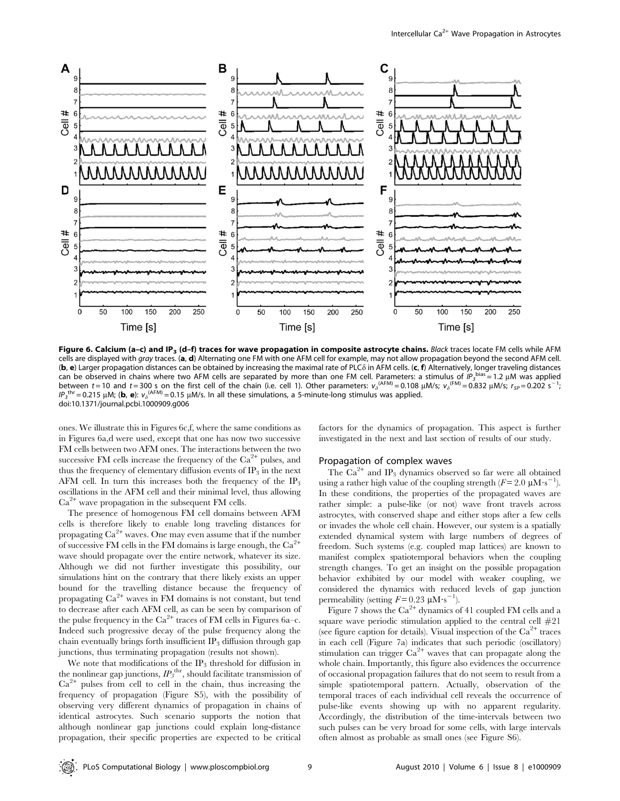

Figure 6. Calcium (a-c) and IP<sub>3</sub> (d-f) traces for wave propagation in composite astrocyte chains. Black traces locate FM cells while AFM cells are displayed with gray traces. (a, d) Alternating one FM with one AFM cell for example, may not allow propagation beyond the second AFM cell. (b, e) Larger propagation distances can be obtained by increasing the maximal rate of PLC $\delta$  in AFM cells. (c, f) Alternatively, longer traveling distances can be observed in chains where two AFM cells are separated by more than one FM cell. Parameters: a stimulus of  $\hat{IP_3}^{\text{bias}} = 1.2 \mu$ M was applied between t = 10 and t = 300 s on the first cell of the chain (i.e. cell 1). Other parameters:  $v_{\delta}^{(AFM)} = 0.108 \mu M/s$ ;  $v_{\delta}^{(FM)} = 0.832 \mu M/s$ ;  $r_{sp} = 0.202 \text{ s}^{-1}$ ;  $IP_3^{\text{thr}}$  = 0.215 µM; (b, e):  $v_3^{\text{(AFM)}}$  = 0.15 µM/s. In all these simulations, a 5-minute-long stimulus was applied. doi:10.1371/journal.pcbi.1000909.g006

ones. We illustrate this in Figures 6c,f, where the same conditions as in Figures 6a,d were used, except that one has now two successive FM cells between two AFM ones. The interactions between the two successive FM cells increase the frequency of the  $Ca^{2+}$  pulses, and thus the frequency of elementary diffusion events of  $IP_3$  in the next AFM cell. In turn this increases both the frequency of the  $IP_3$ oscillations in the AFM cell and their minimal level, thus allowing  $Ca<sup>2+</sup>$  wave propagation in the subsequent FM cells.

The presence of homogenous FM cell domains between AFM cells is therefore likely to enable long traveling distances for propagating  $Ca^{2+}$  waves. One may even assume that if the number of successive FM cells in the FM domains is large enough, the  $Ca<sup>2+</sup>$ wave should propagate over the entire network, whatever its size. Although we did not further investigate this possibility, our simulations hint on the contrary that there likely exists an upper bound for the travelling distance because the frequency of propagating Ca<sup>2+</sup> waves in FM domains is not constant, but tend to decrease after each AFM cell, as can be seen by comparison of the pulse frequency in the  $Ca^{2+}$  traces of FM cells in Figures 6a–c. Indeed such progressive decay of the pulse frequency along the chain eventually brings forth insufficient  $IP_3$  diffusion through gap junctions, thus terminating propagation (results not shown).

We note that modifications of the  $IP_3$  threshold for diffusion in the nonlinear gap junctions,  $IP_3^{\text{thr}}$ , should facilitate transmission of  $Ca<sup>2+</sup>$  pulses from cell to cell in the chain, thus increasing the frequency of propagation (Figure S5), with the possibility of observing very different dynamics of propagation in chains of identical astrocytes. Such scenario supports the notion that although nonlinear gap junctions could explain long-distance propagation, their specific properties are expected to be critical factors for the dynamics of propagation. This aspect is further investigated in the next and last section of results of our study.

#### Propagation of complex waves

The  $Ca^{2+}$  and IP<sub>3</sub> dynamics observed so far were all obtained using a rather high value of the coupling strength  $(F = 2.0 \mu M \cdot s^{-1})$ . In these conditions, the properties of the propagated waves are rather simple: a pulse-like (or not) wave front travels across astrocytes, with conserved shape and either stops after a few cells or invades the whole cell chain. However, our system is a spatially extended dynamical system with large numbers of degrees of freedom. Such systems (e.g. coupled map lattices) are known to manifest complex spatiotemporal behaviors when the coupling strength changes. To get an insight on the possible propagation behavior exhibited by our model with weaker coupling, we considered the dynamics with reduced levels of gap junction permeability (setting  $F = 0.23 \mu \text{M} \cdot \text{s}^{-1}$ ).

Figure 7 shows the  $Ca^{2+}$  dynamics of 41 coupled FM cells and a square wave periodic stimulation applied to the central cell  $#21$ (see figure caption for details). Visual inspection of the  $Ca^{2+}$  traces in each cell (Figure 7a) indicates that such periodic (oscillatory) stimulation can trigger  $Ca^{2+}$  waves that can propagate along the whole chain. Importantly, this figure also evidences the occurrence of occasional propagation failures that do not seem to result from a simple spatiotemporal pattern. Actually, observation of the temporal traces of each individual cell reveals the occurrence of pulse-like events showing up with no apparent regularity. Accordingly, the distribution of the time-intervals between two such pulses can be very broad for some cells, with large intervals often almost as probable as small ones (see Figure S6).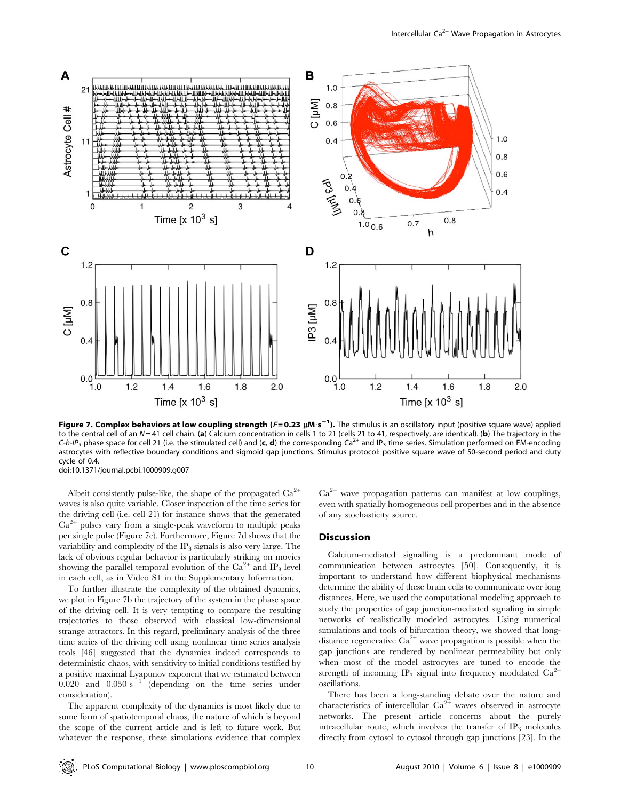

Figure 7. Complex behaviors at low coupling strength (F=0.23 µM·s<sup>-1</sup>). The stimulus is an oscillatory input (positive square wave) applied to the central cell of an  $N=41$  cell chain. (a) Calcium concentration in cells 1 to 21 (cells 21 to 41, respectively, are identical). (b) The trajectory in the C-h-IP<sub>3</sub> phase space for cell 21 (i.e. the stimulated cell) and (c, d) the corresponding Ca<sup>2+</sup> and IP<sub>3</sub> time series. Simulation performed on FM-encoding astrocytes with reflective boundary conditions and sigmoid gap junctions. Stimulus protocol: positive square wave of 50-second period and duty cycle of 0.4.

doi:10.1371/journal.pcbi.1000909.g007

Albeit consistently pulse-like, the shape of the propagated  $Ca^{2+}$ waves is also quite variable. Closer inspection of the time series for the driving cell (i.e. cell 21) for instance shows that the generated  $Ca<sup>2+</sup>$  pulses vary from a single-peak waveform to multiple peaks per single pulse (Figure 7c). Furthermore, Figure 7d shows that the variability and complexity of the  $IP_3$  signals is also very large. The lack of obvious regular behavior is particularly striking on movies showing the parallel temporal evolution of the  $Ca^{2+}$  and IP<sub>3</sub> level in each cell, as in Video S1 in the Supplementary Information.

To further illustrate the complexity of the obtained dynamics, we plot in Figure 7b the trajectory of the system in the phase space of the driving cell. It is very tempting to compare the resulting trajectories to those observed with classical low-dimensional strange attractors. In this regard, preliminary analysis of the three time series of the driving cell using nonlinear time series analysis tools [46] suggested that the dynamics indeed corresponds to deterministic chaos, with sensitivity to initial conditions testified by a positive maximal Lyapunov exponent that we estimated between  $0.020$  and  $0.050 s^{-1}$  (depending on the time series under consideration).

The apparent complexity of the dynamics is most likely due to some form of spatiotemporal chaos, the nature of which is beyond the scope of the current article and is left to future work. But whatever the response, these simulations evidence that complex  $Ca<sup>2+</sup>$  wave propagation patterns can manifest at low couplings, even with spatially homogeneous cell properties and in the absence of any stochasticity source.

#### **Discussion**

Calcium-mediated signalling is a predominant mode of communication between astrocytes [50]. Consequently, it is important to understand how different biophysical mechanisms determine the ability of these brain cells to communicate over long distances. Here, we used the computational modeling approach to study the properties of gap junction-mediated signaling in simple networks of realistically modeled astrocytes. Using numerical simulations and tools of bifurcation theory, we showed that longdistance regenerative  $Ca^{2+}$  wave propagation is possible when the gap junctions are rendered by nonlinear permeability but only when most of the model astrocytes are tuned to encode the strength of incoming IP<sub>3</sub> signal into frequency modulated  $Ca^{2+}$ oscillations.

There has been a long-standing debate over the nature and characteristics of intercellular  $\text{Ca}^{2+}$  waves observed in astrocyte networks. The present article concerns about the purely intracellular route, which involves the transfer of  $IP_3$  molecules directly from cytosol to cytosol through gap junctions [23]. In the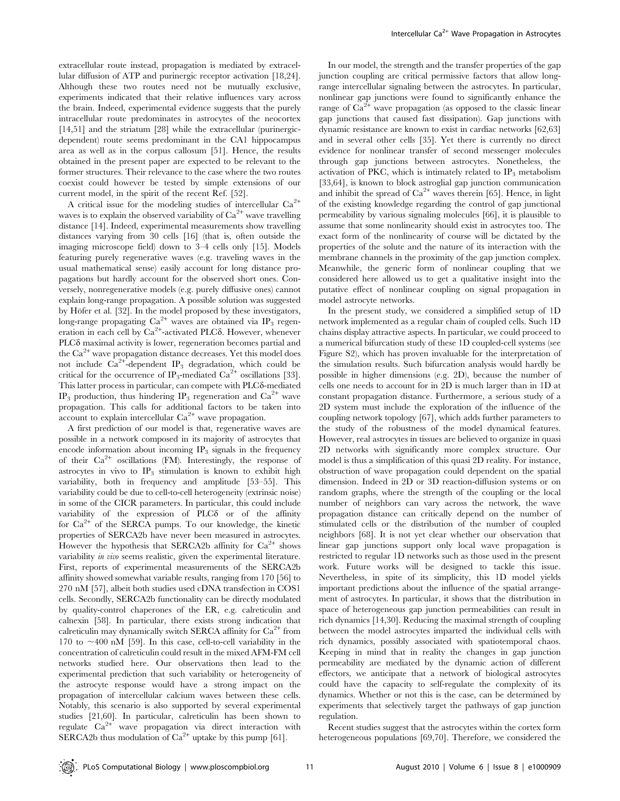extracellular route instead, propagation is mediated by extracellular diffusion of ATP and purinergic receptor activation [18,24]. Although these two routes need not be mutually exclusive, experiments indicated that their relative influences vary across the brain. Indeed, experimental evidence suggests that the purely intracellular route predominates in astrocytes of the neocortex [14,51] and the striatum [28] while the extracellular (purinergicdependent) route seems predominant in the CA1 hippocampus area as well as in the corpus callosum [51]. Hence, the results obtained in the present paper are expected to be relevant to the former structures. Their relevance to the case where the two routes coexist could however be tested by simple extensions of our current model, in the spirit of the recent Ref. [52].

A critical issue for the modeling studies of intercellular  $Ca^{2+}$ waves is to explain the observed variability of  $Ca^{2+}$  wave travelling distance [14]. Indeed, experimental measurements show travelling distances varying from 30 cells [16] (that is, often outside the imaging microscope field) down to 3–4 cells only [15]. Models featuring purely regenerative waves (e.g. traveling waves in the usual mathematical sense) easily account for long distance propagations but hardly account for the observed short ones. Conversely, nonregenerative models (e.g. purely diffusive ones) cannot explain long-range propagation. A possible solution was suggested by Höfer et al. [32]. In the model proposed by these investigators, long-range propagating  $Ca^{2+}$  waves are obtained via IP<sub>3</sub> regeneration in each cell by Ca<sup>2+</sup>-activated PLCδ. However, whenever PLC $\delta$  maximal activity is lower, regeneration becomes partial and the  $Ca<sup>2+</sup>$  wave propagation distance decreases. Yet this model does not include  $Ca^{2+}$ -dependent IP<sub>3</sub> degradation, which could be critical for the occurrence of IP<sub>3</sub>-mediated Ca<sup>2+</sup> oscillations [33]. This latter process in particular, can compete with PLC $\delta$ -mediated IP<sub>3</sub> production, thus hindering IP<sub>3</sub> regeneration and  $Ca^{2+}$  wave propagation. This calls for additional factors to be taken into account to explain intercellular  $Ca^{2+}$  wave propagation.

A first prediction of our model is that, regenerative waves are possible in a network composed in its majority of astrocytes that encode information about incoming  $IP_3$  signals in the frequency of their  $Ca^{2+}$  oscillations (FM). Interestingly, the response of astrocytes in vivo to  $IP_3$  stimulation is known to exhibit high variability, both in frequency and amplitude [53–55]. This variability could be due to cell-to-cell heterogeneity (extrinsic noise) in some of the CICR parameters. In particular, this could include variability of the expression of PLC $\delta$  or of the affinity for  $Ca^{2+}$  of the SERCA pumps. To our knowledge, the kinetic properties of SERCA2b have never been measured in astrocytes. However the hypothesis that SERCA2b affinity for  $Ca^{2+}$  shows variability in vivo seems realistic, given the experimental literature. First, reports of experimental measurements of the SERCA2b affinity showed somewhat variable results, ranging from 170 [56] to 270 nM [57], albeit both studies used cDNA transfection in COS1 cells. Secondly, SERCA2b functionality can be directly modulated by quality-control chaperones of the ER, e.g. calreticulin and calnexin [58]. In particular, there exists strong indication that calreticulin may dynamically switch SERCA affinity for  $Ca^{2+}$  from 170 to  $\sim$ 400 nM [59]. In this case, cell-to-cell variability in the concentration of calreticulin could result in the mixed AFM-FM cell networks studied here. Our observations then lead to the experimental prediction that such variability or heterogeneity of the astrocyte response would have a strong impact on the propagation of intercellular calcium waves between these cells. Notably, this scenario is also supported by several experimental studies [21,60]. In particular, calreticulin has been shown to regulate  $Ca^{2+}$  wave propagation via direct interaction with SERCA2b thus modulation of  $Ca^{2+}$  uptake by this pump [61].

In our model, the strength and the transfer properties of the gap junction coupling are critical permissive factors that allow longrange intercellular signaling between the astrocytes. In particular, nonlinear gap junctions were found to significantly enhance the range of  $Ca^{2+}$  wave propagation (as opposed to the classic linear gap junctions that caused fast dissipation). Gap junctions with dynamic resistance are known to exist in cardiac networks [62,63] and in several other cells [35]. Yet there is currently no direct evidence for nonlinear transfer of second messenger molecules through gap junctions between astrocytes. Nonetheless, the activation of PKC, which is intimately related to  $IP_3$  metabolism [33,64], is known to block astroglial gap junction communication and inhibit the spread of  $Ca^{2+}$  waves therein [65]. Hence, in light of the existing knowledge regarding the control of gap junctional permeability by various signaling molecules [66], it is plausible to assume that some nonlinearity should exist in astrocytes too. The exact form of the nonlinearity of course will be dictated by the properties of the solute and the nature of its interaction with the membrane channels in the proximity of the gap junction complex. Meanwhile, the generic form of nonlinear coupling that we considered here allowed us to get a qualitative insight into the putative effect of nonlinear coupling on signal propagation in model astrocyte networks.

In the present study, we considered a simplified setup of 1D network implemented as a regular chain of coupled cells. Such 1D chains display attractive aspects. In particular, we could proceed to a numerical bifurcation study of these 1D coupled-cell systems (see Figure S2), which has proven invaluable for the interpretation of the simulation results. Such bifurcation analysis would hardly be possible in higher dimensions (e.g. 2D), because the number of cells one needs to account for in 2D is much larger than in 1D at constant propagation distance. Furthermore, a serious study of a 2D system must include the exploration of the influence of the coupling network topology [67], which adds further parameters to the study of the robustness of the model dynamical features. However, real astrocytes in tissues are believed to organize in quasi 2D networks with significantly more complex structure. Our model is thus a simplification of this quasi 2D reality. For instance, obstruction of wave propagation could dependent on the spatial dimension. Indeed in 2D or 3D reaction-diffusion systems or on random graphs, where the strength of the coupling or the local number of neighbors can vary across the network, the wave propagation distance can critically depend on the number of stimulated cells or the distribution of the number of coupled neighbors [68]. It is not yet clear whether our observation that linear gap junctions support only local wave propagation is restricted to regular 1D networks such as those used in the present work. Future works will be designed to tackle this issue. Nevertheless, in spite of its simplicity, this 1D model yields important predictions about the influence of the spatial arrangement of astrocytes. In particular, it shows that the distribution in space of heterogeneous gap junction permeabilities can result in rich dynamics [14,30]. Reducing the maximal strength of coupling between the model astrocytes imparted the individual cells with rich dynamics, possibly associated with spatiotemporal chaos. Keeping in mind that in reality the changes in gap junction permeability are mediated by the dynamic action of different effectors, we anticipate that a network of biological astrocytes could have the capacity to self-regulate the complexity of its dynamics. Whether or not this is the case, can be determined by experiments that selectively target the pathways of gap junction regulation.

Recent studies suggest that the astrocytes within the cortex form heterogeneous populations [69,70]. Therefore, we considered the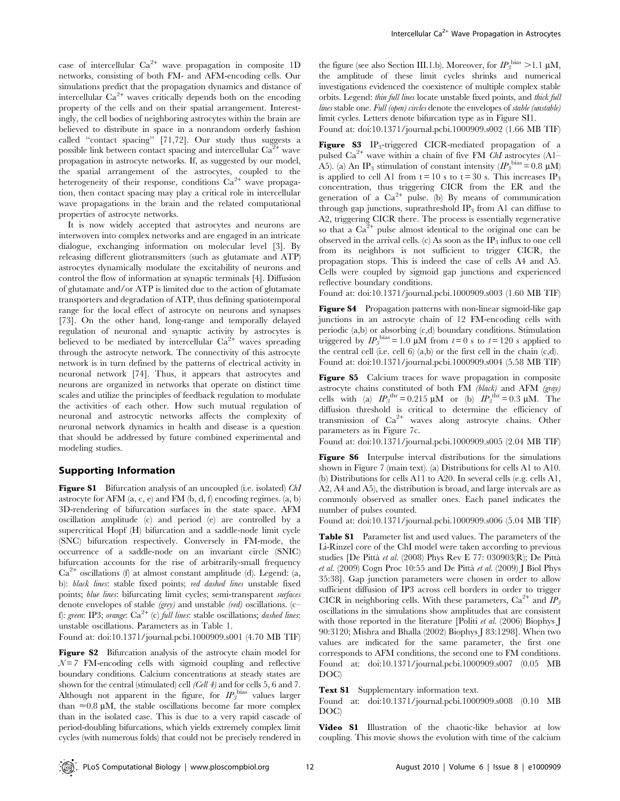case of intercellular  $Ca^{2+}$  wave propagation in composite 1D networks, consisting of both FM- and AFM-encoding cells. Our simulations predict that the propagation dynamics and distance of intercellular  $Ca^{2+}$  waves critically depends both on the encoding property of the cells and on their spatial arrangement. Interestingly, the cell bodies of neighboring astrocytes within the brain are believed to distribute in space in a nonrandom orderly fashion called ''contact spacing'' [71,72]. Our study thus suggests a possible link between contact spacing and intercellular  $Ca<sup>2+</sup>$  wave propagation in astrocyte networks. If, as suggested by our model, the spatial arrangement of the astrocytes, coupled to the heterogeneity of their response, conditions  $Ca^{2+}$  wave propagation, then contact spacing may play a critical role in intercellular wave propagations in the brain and the related computational properties of astrocyte networks.

It is now widely accepted that astrocytes and neurons are interwoven into complex networks and are engaged in an intricate dialogue, exchanging information on molecular level [3]. By releasing different gliotransmitters (such as glutamate and ATP) astrocytes dynamically modulate the excitability of neurons and control the flow of information at synaptic terminals [4]. Diffusion of glutamate and/or ATP is limited due to the action of glutamate transporters and degradation of ATP, thus defining spatiotemporal range for the local effect of astrocyte on neurons and synapses [73]. On the other hand, long-range and temporally delayed regulation of neuronal and synaptic activity by astrocytes is believed to be mediated by intercellular  $Ca^{2+}$  waves spreading through the astrocyte network. The connectivity of this astrocyte network is in turn defined by the patterns of electrical activity in neuronal network [74]. Thus, it appears that astrocytes and neurons are organized in networks that operate on distinct time scales and utilize the principles of feedback regulation to modulate the activities of each other. How such mutual regulation of neuronal and astrocytic networks affects the complexity of neuronal network dynamics in health and disease is a question that should be addressed by future combined experimental and modeling studies.

#### Supporting Information

Figure S1 Bifurcation analysis of an uncoupled (i.e. isolated) Chl astrocyte for AFM  $(a, c, e)$  and FM  $(b, d, f)$  encoding regimes.  $(a, b)$ 3D-rendering of bifurcation surfaces in the state space. AFM oscillation amplitude (c) and period (e) are controlled by a supercritical Hopf (H) bifurcation and a saddle-node limit cycle (SNC) bifurcation respectively. Conversely in FM-mode, the occurrence of a saddle-node on an invariant circle (SNIC) bifurcation accounts for the rise of arbitrarily-small frequency  $Ca^{2+}$  oscillations (f) at almost constant amplitude (d). Legend: (a, b): black lines: stable fixed points; red dashed lines unstable fixed points; blue lines: bifurcating limit cycles; semi-transparent surfaces denote envelopes of stable *(grey)* and unstable *(red)* oscillations. (cf): green: IP3; orange:  $Ca^{2+}$  (c) full lines: stable oscillations; dashed lines: unstable oscillations. Parameters as in Table 1.

Found at: doi:10.1371/journal.pcbi.1000909.s001 (4.70 MB TIF)

Figure S2 Bifurcation analysis of the astrocyte chain model for  $N=7$  FM-encoding cells with sigmoid coupling and reflective boundary conditions. Calcium concentrations at steady states are shown for the central (stimulated) cell (Cell 4) and for cells 5, 6 and 7. Although not apparent in the figure, for  $IP_3^{\text{bias}}$  values larger than  $\approx 0.8 \mu M$ , the stable oscillations become far more complex than in the isolated case. This is due to a very rapid cascade of period-doubling bifurcations, which yields extremely complex limit cycles (with numerous folds) that could not be precisely rendered in

the figure (see also Section III.1.b). Moreover, for  $IP_3^{\text{bias}} > 1.1 \mu M$ , the amplitude of these limit cycles shrinks and numerical investigations evidenced the coexistence of multiple complex stable orbits. Legend: thin full lines locate unstable fixed points, and thick full lines stable one. Full (open) circles denote the envelopes of stable (unstable) limit cycles. Letters denote bifurcation type as in Figure SI1.

Found at: doi:10.1371/journal.pcbi.1000909.s002 (1.66 MB TIF)

**Figure S3** IP<sub>3</sub>-triggered CICR-mediated propagation of a pulsed  $Ca^{2+}$  wave within a chain of five FM ChI astrocytes (A1– A5). (a) An IP<sub>3</sub> stimulation of constant intensity  $(IP_3^{\text{bias}} = 0.8 \text{ }\mu\text{M})$ is applied to cell A1 from  $t = 10$  s to  $t = 30$  s. This increases IP<sub>3</sub> concentration, thus triggering CICR from the ER and the generation of a  $Ca^{2+}$  pulse. (b) By means of communication through gap junctions, suprathreshold  $IP_3$  from A1 can diffuse to A2, triggering CICR there. The process is essentially regenerative so that a  $Ca^{2+}$  pulse almost identical to the original one can be observed in the arrival cells. (c) As soon as the  $IP_3$  influx to one cell from its neighbors is not sufficient to trigger CICR, the propagation stops. This is indeed the case of cells A4 and A5. Cells were coupled by sigmoid gap junctions and experienced reflective boundary conditions.

Found at: doi:10.1371/journal.pcbi.1000909.s003 (1.60 MB TIF)

Figure S4 Propagation patterns with non-linear sigmoid-like gap junctions in an astrocyte chain of 12 FM-encoding cells with periodic (a,b) or absorbing (c,d) boundary conditions. Stimulation triggered by  $IP_3^{\text{bias}} = 1.0 \mu\text{M}$  from  $t=0$  s to  $t=120$  s applied to the central cell (i.e. cell 6) (a,b) or the first cell in the chain (c,d). Found at: doi:10.1371/journal.pcbi.1000909.s004 (5.58 MB TIF)

Figure S5 Calcium traces for wave propagation in composite astrocyte chains constituted of both FM (black) and AFM (gray) cells with (a)  $IP_3^{\text{thr}} = 0.215 \text{ }\mu\text{M}$  or (b)  $IP_3^{\text{thr}} = 0.3 \text{ }\mu\text{M}$ . The diffusion threshold is critical to determine the efficiency of transmission of  $Ca^{2+}$  waves along astrocyte chains. Other parameters as in Figure 7c.

Found at: doi:10.1371/journal.pcbi.1000909.s005 (2.04 MB TIF)

Figure S6 Interpulse interval distributions for the simulations shown in Figure 7 (main text). (a) Distributions for cells A1 to A10. (b) Distributions for cells A11 to A20. In several cells (e.g. cells A1, A2, A4 and A5), the distribution is broad, and large intervals are as commonly observed as smaller ones. Each panel indicates the number of pulses counted.

Found at: doi:10.1371/journal.pcbi.1000909.s006 (5.04 MB TIF)

Table S1 Parameter list and used values. The parameters of the Li-Rinzel core of the ChI model were taken according to previous studies [De Pittà et al. (2008) Phys Rev E 77: 030903(R); De Pittà et al. (2009) Cogn Proc 10:55 and De Pittà et al. (2009) J Biol Phys 35:38]. Gap junction parameters were chosen in order to allow sufficient diffusion of IP3 across cell borders in order to trigger CICR in neighboring cells. With these parameters,  $Ca^{2+}$  and  $IP_3$ oscillations in the simulations show amplitudes that are consistent with those reported in the literature [Politi *et al.* (2006) Biophys I 90:3120; Mishra and Bhalla (2002) Biophys J 83:1298]. When two values are indicated for the same parameter, the first one corresponds to AFM conditions, the second one to FM conditions. Found at: doi:10.1371/journal.pcbi.1000909.s007 (0.05 MB DOC)

Text S1 Supplementary information text.

Found at: doi:10.1371/journal.pcbi.1000909.s008 (0.10 MB DOC)

Video S1 Illustration of the chaotic-like behavior at low coupling. This movie shows the evolution with time of the calcium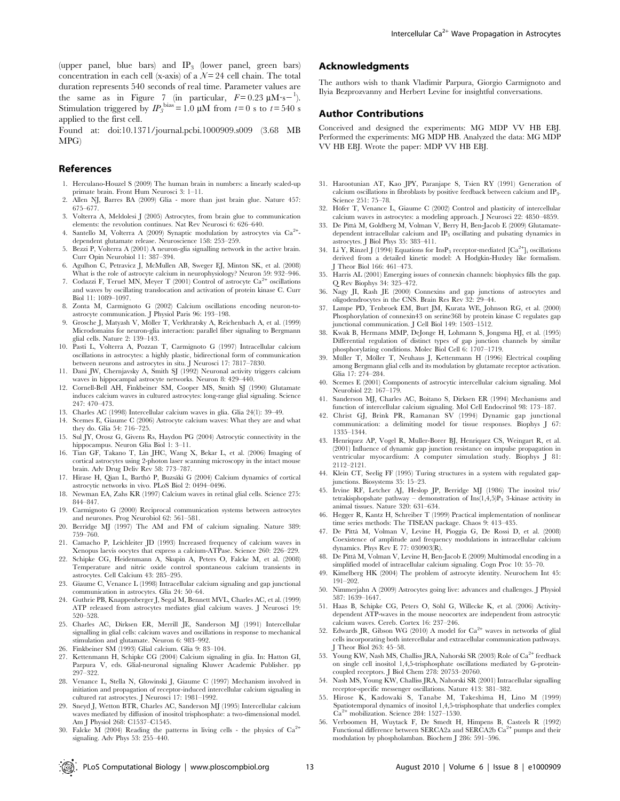(upper panel, blue bars) and IP3 (lower panel, green bars) concentration in each cell (x-axis) of a  $N=24$  cell chain. The total duration represents 540 seconds of real time. Parameter values are the same as in Figure 7 (in particular,  $F=0.23 \mu \text{M} \cdot \text{s}^{-1}$ ). Stimulation triggered by  $IP_3^{\text{bias}} = 1.0 \mu\text{M}$  from  $t = 0$  s to  $t = 540 \text{ s}$ applied to the first cell.

Found at: doi:10.1371/journal.pcbi.1000909.s009 (3.68 MB MPG)

#### References

- 1. Herculano-Houzel S (2009) The human brain in numbers: a linearly scaled-up primate brain. Front Hum Neurosci 3: 1–11.
- 2. Allen NJ, Barres BA (2009) Glia more than just brain glue. Nature 457: 675–677.
- 3. Volterra A, Meldolesi J (2005) Astrocytes, from brain glue to communication elements: the revolution continues. Nat Rev Neurosci 6: 626–640.
- 4. Santello M, Volterra A (2009) Synaptic modulation by astrocytes via Ca<sup>2+</sup>dependent glutamate release. Neuroscience 158: 253–259.
- 5. Bezzi P, Volterra A (2001) A neuron-glia signalling network in the active brain. Curr Opin Neurobiol 11: 387–394.
- 6. Agulhon C, Petravicz J, McMullen AB, Sweger EJ, Minton SK, et al. (2008) What is the role of astrocyte calcium in neurophysiology? Neuron 59: 932–946.
- 7. Codazzi F, Teruel MN, Meyer T (2001) Control of astrocyte  $\text{Ca}^{2+}$  oscillations and waves by oscillating translocation and activation of protein kinase C. Curr Biol 11: 1089–1097.
- 8. Zonta M, Carmignoto G (2002) Calcium oscillations encoding neuron-toastrocyte communication. J Physiol Paris 96: 193–198.
- 9. Grosche J, Matyash V, Möller T, Verkhratsky A, Reichenbach A, et al. (1999) Microdomains for neuron-glia interaction: parallel fiber signaling to Bergmann glial cells. Nature 2: 139–143.
- 10. Pasti L, Volterra A, Pozzan T, Carmignoto G (1997) Intracellular calcium oscillations in astrocytes: a highly plastic, bidirectional form of communication between neurons and astrocytes in situ. J Neurosci 17: 7817–7830.
- 11. Dani JW, Chernjavsky A, Smith SJ (1992) Neuronal activity triggers calcium waves in hippocampal astrocyte networks. Neuron 8: 429–440.
- 12. Cornell-Bell AH, Finkbeiner SM, Cooper MS, Smith SJ (1990) Glutamate induces calcium waves in cultured astrocytes: long-range glial signaling. Science 247: 470–473.
- 13. Charles AC (1998) Intercellular calcium waves in glia. Glia 24(1): 39–49.
- 14. Scemes E, Giaume C (2006) Astrocyte calcium waves: What they are and what they do. Glia 54: 716–725.
- 15. Sul JY, Orosz G, Givens Rs, Haydon PG (2004) Astrocytic connectivity in the hippocampus. Neuron Glia Biol 1: 3–11.
- 16. Tian GF, Takano T, Lin JHC, Wang X, Bekar L, et al. (2006) Imaging of cortical astrocytes using 2-photon laser scanning microscopy in the intact mouse brain. Adv Drug Deliv Rev 58: 773–787.
- 17. Hirase H, Qian L, Barthó P, Buzsáki G (2004) Calcium dynamics of cortical astrocytic networks in vivo. PLoS Biol 2: 0494–0496.
- 18. Newman EA, Zahs KR (1997) Calcium waves in retinal glial cells. Science 275: 844–847.
- 19. Carmignoto G (2000) Reciprocal communication systems between astrocytes and neurones. Prog Neurobiol 62: 561–581.
- 20. Berridge MJ (1997) The AM and FM of calcium signaling. Nature 389: 759–760.
- 21. Camacho P, Leichleiter JD (1993) Increased frequency of calcium waves in Xenopus laevis oocytes that express a calcium-ATPase. Science 260: 226–229.
- 22. Schipke CG, Heidenmann A, Skupin A, Peters O, Falcke M, et al. (2008) Temperature and nitric oxide control spontaneous calcium transients in astrocytes. Cell Calcium 43: 285–295.
- 23. Giaume C, Venance L (1998) Intracellular calcium signaling and gap junctional communication in astrocytes. Glia 24: 50–64.
- 24. Guthrie PB, Knappenberger J, Segal M, Bennett MVL, Charles AC, et al. (1999) ATP released from astrocytes mediates glial calcium waves. J Neurosci 19: 520–528.
- 25. Charles AC, Dirksen ER, Merrill JE, Sanderson MJ (1991) Intercellular signalling in glial cells: calcium waves and oscillations in response to mechanical stimulation and glutamate. Neuron 6: 983–992.
- 26. Finkbeiner SM (1993) Glial calcium. Glia 9: 83–104.
- 27. Kettenmann H, Schipke CG (2004) Calcium signaling in glia. In: Hatton GI, Parpura V, eds. Glial-neuronal signaling Kluwer Academic Publisher. pp 297–322.
- 28. Venance L, Stella N, Glowinski J, Giaume C (1997) Mechanism involved in initiation and propagation of receptor-induced intercellular calcium signaling in cultured rat astrocytes. J Neurosci 17: 1981–1992.
- 29. Sneyd J, Wetton BTR, Charles AC, Sanderson MJ (1995) Intercellular calcium waves mediated by diffusion of inositol trisphosphate: a two-dimensional model. Am J Physiol 268: C1537–C1545.
- 30. Falcke M (2004) Reading the patterns in living cells the physics of  $Ca^{2+}$ signaling. Adv Phys 53: 255–440.

#### Acknowledgments

The authors wish to thank Vladimir Parpura, Giorgio Carmignoto and Ilyia Bezprozvanny and Herbert Levine for insightful conversations.

#### Author Contributions

Conceived and designed the experiments: MG MDP VV HB EBJ. Performed the experiments: MG MDP HB. Analyzed the data: MG MDP VV HB EBJ. Wrote the paper: MDP VV HB EBJ.

- 31. Harootunian AT, Kao JPY, Paranjape S, Tsien RY (1991) Generation of calcium oscillations in fibroblasts by positive feedback between calcium and IP<sub>3</sub>. Science 251: 75–78.
- 32. Höfer T, Venance L, Giaume C (2002) Control and plasticity of intercellular calcium waves in astrocytes: a modeling approach. J Neurosci 22: 4850–4859.
- 33. De Pitta` M, Goldberg M, Volman V, Berry H, Ben-Jacob E (2009) Glutamatedependent intracellular calcium and IP<sub>3</sub> oscillating and pulsating dynamics in astrocytes. J Biol Phys 35: 383–411.
- 34. Li Y, Rinzel J (1994) Equations for  $InsP_3$  receptor-mediated  $[Ca^{2+}]_i$  oscillations derived from a detailed kinetic model: A Hodgkin-Huxley like formalism. J Theor Biol 166: 461–473.
- 35. Harris AL (2001) Emerging issues of connexin channels: biophysics fills the gap. Q Rev Biophys 34: 325–472.
- 36. Nagy JI, Rash JE (2000) Connexins and gap junctions of astrocytes and oligodendrocytes in the CNS. Brain Res Rev 32: 29–44.
- 37. Lampe PD, Tenbroek EM, Burt JM, Kurata WE, Johnson RG, et al. (2000) Phosphorylation of connexin43 on serine368 by protein kinase C regulates gap junctional communication. J Cell Biol 149: 1503–1512.
- 38. Kwak B, Hermans MMP, DeJonge H, Lohmann S, Jongsma HJ, et al. (1995) Differential regulation of distinct types of gap junction channels by similar phosphorylating conditions. Molec Biol Cell 6: 1707–1719.
- 39. Müller T, Möller T, Neuhaus J, Kettenmann H (1996) Electrical coupling among Bergmann glial cells and its modulation by glutamate receptor activation. Glia 17: 274–284.
- 40. Scemes E (2001) Components of astrocytic intercellular calcium signaling. Mol Neurobiol 22: 167–179.
- 41. Sanderson MJ, Charles AC, Boitano S, Dirksen ER (1994) Mechanisms and function of intercellular calcium signaling. Mol Cell Endocrinol 98: 173–187.
- 42. Christ GJ, Brink PR, Ramanan SV (1994) Dynamic gap junctional communication: a delimiting model for tissue responses. Biophys J 67: 1335–1344.
- 43. Henriquez AP, Vogel R, Muller-Borer BJ, Henriquez CS, Weingart R, et al. (2001) Influence of dynamic gap junction resistance on impulse propagation in ventricular myocardium: A computer simulation study. Biophys J 81: 2112–2121.
- 44. Klein CT, Seelig FF (1995) Turing structures in a system with regulated gapjunctions. Biosystems 35: 15–23.
- 45. Irvine RF, Letcher AJ, Heslop JP, Berridge MJ (1986) The inositol tris/ tetrakisphopshate pathway – demonstration of  $Ins(1,4,5)P_3$  3-kinase activity in animal tissues. Nature 320: 631–634.
- 46. Hegger R, Kantz H, Schreiber T (1999) Practical implementation of nonlinear time series methods: The TISEAN package. Chaos 9: 413–435.
- 47. De Pitta` M, Volman V, Levine H, Pioggia G, De Rossi D, et al. (2008) Coexistence of amplitude and frequency modulations in intracellular calcium dynamics. Phys Rev E 77: 030903(R).
- 48. De Pittà M, Volman V, Levine H, Ben-Jacob E (2009) Multimodal encoding in a simplified model of intracellular calcium signaling. Cogn Proc 10: 55–70.
- 49. Kimelberg HK (2004) The problem of astrocyte identity. Neurochem Int 45: 191–202.
- 50. Nimmerjahn A (2009) Astrocytes going live: advances and challenges. J Physiol 587: 1639–1647.
- 51. Haas B, Schipke CG, Peters O, Söhl G, Willecke K, et al. (2006) Activitydependent ATP-waves in the mouse neocortex are independent from astrocytic calcium waves. Cereb. Cortex 16: 237–246.
- 52. Edwards JR, Gibson WG (2010) A model for  $Ca^{2+}$  waves in networks of glial cells incorporating both intercellular and extracellular communication pathways. J Theor Biol 263: 45–58.
- 53. Young KW, Nash MS, Challiss JRA, Nahorski SR (2003) Role of Ca<sup>2+</sup> feedback on single cell inositol 1,4,5-trisphosphate oscillations mediated by G-proteincoupled receptors. J Biol Chem 278: 20753–20760.
- 54. Nash MS, Young KW, Challiss JRA, Nahorski SR (2001) Intracellular signalling receptor-specific messenger oscillations. Nature 413: 381–382.
- 55. Hirose K, Kadowaki S, Tanabe M, Takeshima H, Lino M (1999) Spatiotemporal dynamics of inositol 1,4,5-trisphosphate that underlies complex Ca2<sup>+</sup> mobilization. Science 284: 1527–1530.
- 56. Verboomen H, Wuytack F, De Smedt H, Himpens B, Casteels R (1992) Functional difference between SERCA2a and SERCA2b  $Ca<sup>2+</sup>$  pumps and their modulation by phospholamban. Biochem J 286: 591–596.